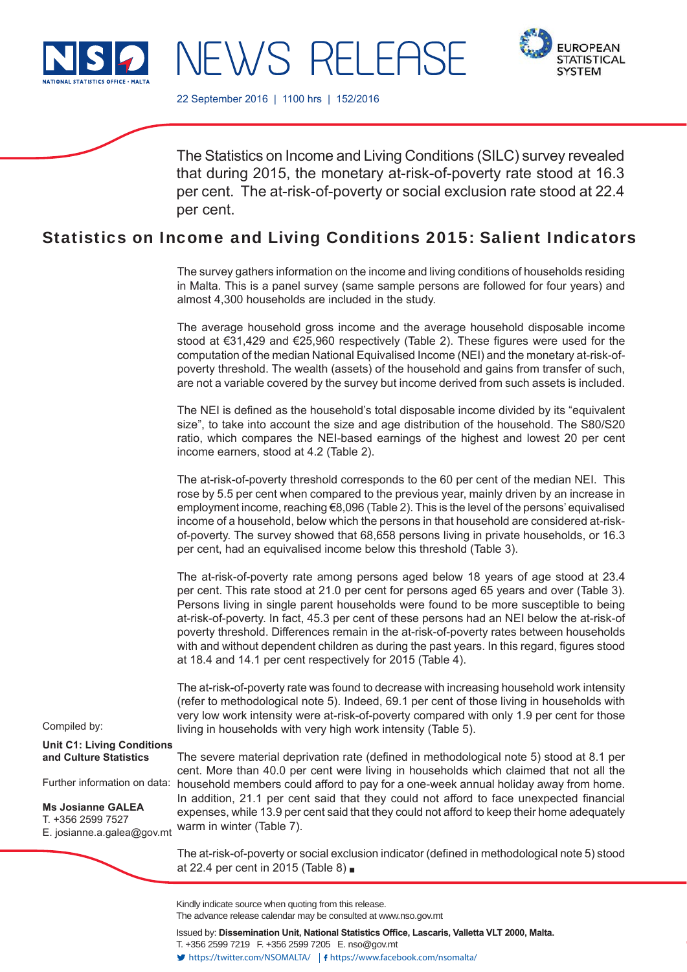

NEWS RELEASE



22 September 2016 | 1100 hrs | 152/2016

The Statistics on Income and Living Conditions (SILC) survey revealed that during 2015, the monetary at-risk-of-poverty rate stood at 16.3 per cent. The at-risk-of-poverty or social exclusion rate stood at 22.4 per cent.

# Statistics on Income and Living Conditions 2015: Salient Indicators

The survey gathers information on the income and living conditions of households residing in Malta. This is a panel survey (same sample persons are followed for four years) and almost 4,300 households are included in the study.

The average household gross income and the average household disposable income stood at  $€31,429$  and  $€25,960$  respectively (Table 2). These figures were used for the computation of the median National Equivalised Income (NEI) and the monetary at-risk-ofpoverty threshold. The wealth (assets) of the household and gains from transfer of such, are not a variable covered by the survey but income derived from such assets is included.

The NEI is defined as the household's total disposable income divided by its "equivalent size", to take into account the size and age distribution of the household. The S80/S20 ratio, which compares the NEI-based earnings of the highest and lowest 20 per cent income earners, stood at 4.2 (Table 2).

The at-risk-of-poverty threshold corresponds to the 60 per cent of the median NEI. This rose by 5.5 per cent when compared to the previous year, mainly driven by an increase in employment income, reaching €8,096 (Table 2). This is the level of the persons' equivalised income of a household, below which the persons in that household are considered at-riskof-poverty. The survey showed that 68,658 persons living in private households, or 16.3 per cent, had an equivalised income below this threshold (Table 3).

The at-risk-of-poverty rate among persons aged below 18 years of age stood at 23.4 per cent. This rate stood at 21.0 per cent for persons aged 65 years and over (Table 3). Persons living in single parent households were found to be more susceptible to being at-risk-of-poverty. In fact, 45.3 per cent of these persons had an NEI below the at-risk-of poverty threshold. Differences remain in the at-risk-of-poverty rates between households with and without dependent children as during the past years. In this regard, figures stood at 18.4 and 14.1 per cent respectively for 2015 (Table 4).

The at-risk-of-poverty rate was found to decrease with increasing household work intensity (refer to methodological note 5). Indeed, 69.1 per cent of those living in households with very low work intensity were at-risk-of-poverty compared with only 1.9 per cent for those living in households with very high work intensity (Table 5).

The severe material deprivation rate (defined in methodological note 5) stood at 8.1 per cent. More than 40.0 per cent were living in households which claimed that not all the household members could afford to pay for a one-week annual holiday away from home. In addition, 21.1 per cent said that they could not afford to face unexpected financial expenses, while 13.9 per cent said that they could not afford to keep their home adequately warm in winter (Table 7).

The at-risk-of-poverty or social exclusion indicator (defined in methodological note 5) stood at 22.4 per cent in 2015 (Table 8)

Compiled by:

**Unit C1: Living Conditions and Culture Statistics**

Further information on data:

**Ms Josianne GALEA** T. +356 2599 7527 E. josianne.a.galea@gov.mt

> Kindly indicate source when quoting from this release. The advance release calendar may be consulted at www.nso.gov.mt

Issued by: Dissemination Unit, National Statistics Office, Lascaris, Valletta VLT 2000, Malta. T. +356 2599 7219 F. +356 2599 7205 E. nso@gov.mt https://twitter.com/NSOMALTA/ https://www.facebook.com/nsomalta/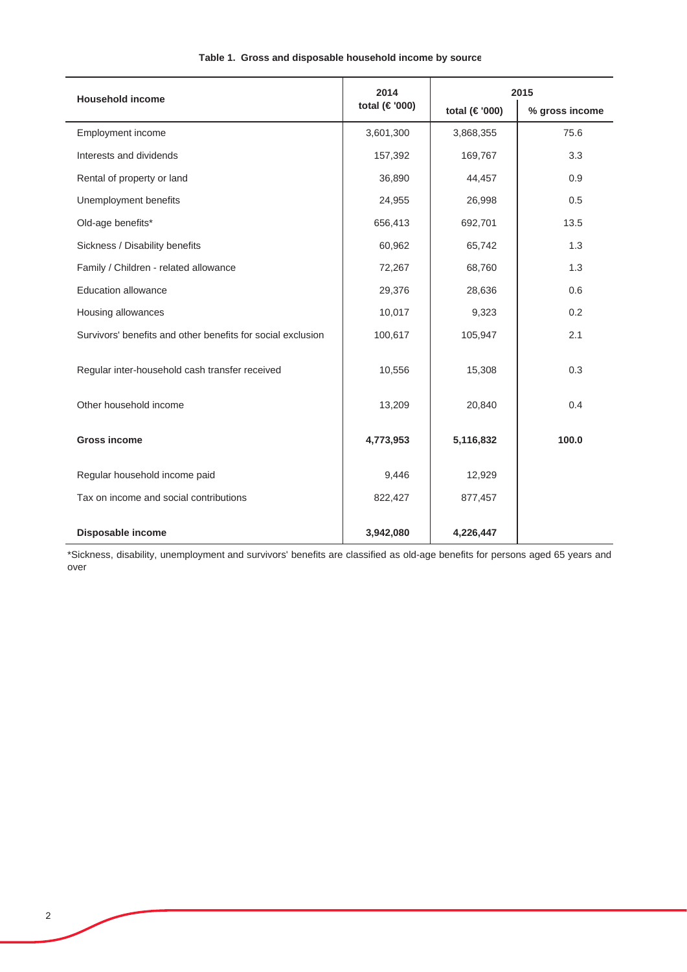| <b>Household income</b>                                     | 2014          | 2015          |                |  |
|-------------------------------------------------------------|---------------|---------------|----------------|--|
|                                                             | total (€'000) | total (€'000) | % gross income |  |
| Employment income                                           | 3,601,300     | 3,868,355     | 75.6           |  |
| Interests and dividends                                     | 157,392       | 169,767       | 3.3            |  |
| Rental of property or land                                  | 36,890        | 44,457        | 0.9            |  |
| Unemployment benefits                                       | 24,955        | 26,998        | 0.5            |  |
| Old-age benefits*                                           | 656,413       | 692,701       | 13.5           |  |
| Sickness / Disability benefits                              | 60,962        | 65,742        | 1.3            |  |
| Family / Children - related allowance                       | 72,267        | 68,760        | 1.3            |  |
| <b>Education allowance</b>                                  | 29,376        | 28,636        | 0.6            |  |
| Housing allowances                                          | 10,017        | 9,323         | 0.2            |  |
| Survivors' benefits and other benefits for social exclusion | 100,617       | 105,947       | 2.1            |  |
| Regular inter-household cash transfer received              | 10,556        | 15,308        | 0.3            |  |
| Other household income                                      | 13,209        | 20,840        | 0.4            |  |
| <b>Gross income</b>                                         | 4,773,953     | 5,116,832     | 100.0          |  |
| Regular household income paid                               | 9,446         | 12,929        |                |  |
| Tax on income and social contributions                      | 822,427       | 877,457       |                |  |
| Disposable income                                           | 3,942,080     | 4,226,447     |                |  |

## **Table 1. Gross and disposable household income by source**

\*Sickness, disability, unemployment and survivors' benefits are classified as old-age benefits for persons aged 65 years and over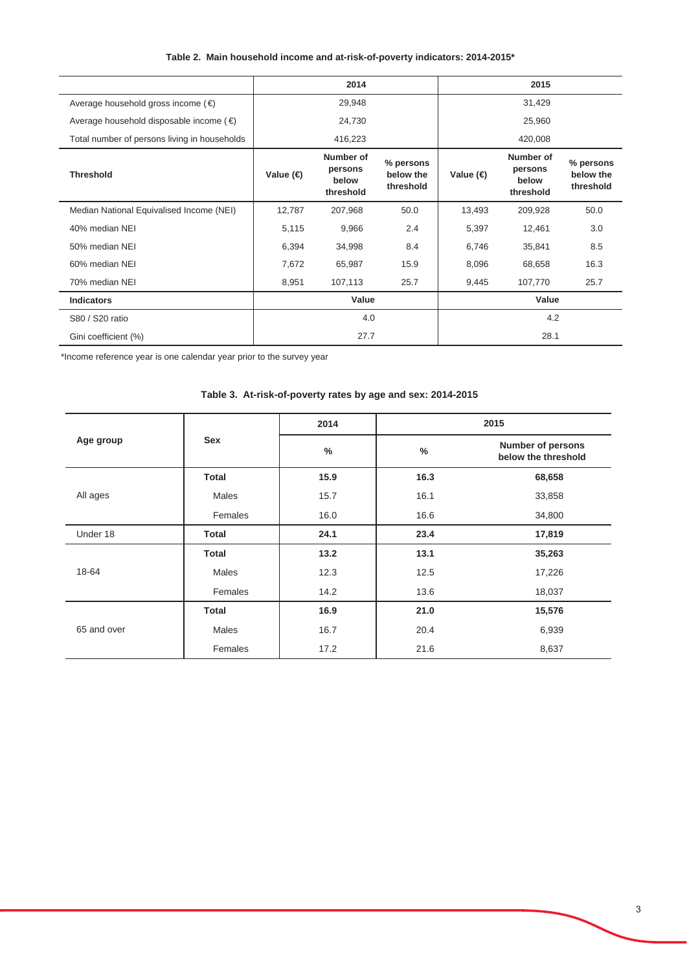## **Table 2. Main household income and at-risk-of-poverty indicators: 2014-2015\***

|                                                    |                   | 2014                                       |                                     |           | 2015                                       |                                     |
|----------------------------------------------------|-------------------|--------------------------------------------|-------------------------------------|-----------|--------------------------------------------|-------------------------------------|
| Average household gross income $(\epsilon)$        |                   | 29,948                                     |                                     |           | 31,429                                     |                                     |
| Average household disposable income ( $\epsilon$ ) |                   | 24,730                                     |                                     |           | 25,960                                     |                                     |
| Total number of persons living in households       |                   | 416,223                                    |                                     |           | 420,008                                    |                                     |
| <b>Threshold</b>                                   | Value $\bigoplus$ | Number of<br>persons<br>below<br>threshold | % persons<br>below the<br>threshold | Value (€) | Number of<br>persons<br>below<br>threshold | % persons<br>below the<br>threshold |
| Median National Equivalised Income (NEI)           | 12,787            | 207,968                                    | 50.0                                | 13,493    | 209,928                                    | 50.0                                |
| 40% median NEI                                     | 5,115             | 9,966                                      | 2.4                                 | 5,397     | 12,461                                     | 3.0                                 |
| 50% median NEI                                     | 6,394             | 34,998                                     | 8.4                                 | 6,746     | 35,841                                     | 8.5                                 |
| 60% median NEI                                     | 7,672             | 65,987                                     | 15.9                                | 8,096     | 68,658                                     | 16.3                                |
| 70% median NEI                                     | 8,951             | 107,113                                    | 25.7                                | 9,445     | 107,770                                    | 25.7                                |
| <b>Indicators</b>                                  |                   | Value                                      |                                     |           | Value                                      |                                     |
| S80 / S20 ratio                                    | 4.0               |                                            | 4.2                                 |           |                                            |                                     |
| Gini coefficient (%)                               |                   | 27.7                                       |                                     |           | 28.1                                       |                                     |

\*Income reference year is one calendar year prior to the survey year

|             |              | 2014 | 2015          |                                          |  |
|-------------|--------------|------|---------------|------------------------------------------|--|
| Age group   | <b>Sex</b>   | $\%$ | $\frac{0}{0}$ | Number of persons<br>below the threshold |  |
|             | <b>Total</b> | 15.9 | 16.3          | 68,658                                   |  |
| All ages    | Males        | 15.7 | 16.1          | 33,858                                   |  |
|             | Females      | 16.0 | 16.6          | 34,800                                   |  |
| Under 18    | <b>Total</b> | 24.1 | 23.4          | 17,819                                   |  |
|             | <b>Total</b> | 13.2 | 13.1          | 35,263                                   |  |
| 18-64       | Males        | 12.3 | 12.5          | 17,226                                   |  |
|             | Females      | 14.2 | 13.6          | 18,037                                   |  |
|             | <b>Total</b> | 16.9 | 21.0          | 15,576                                   |  |
| 65 and over | Males        | 16.7 | 20.4          | 6,939                                    |  |
|             | Females      | 17.2 | 21.6          | 8,637                                    |  |

#### **Table 3. At-risk-of-poverty rates by age and sex: 2014-2015**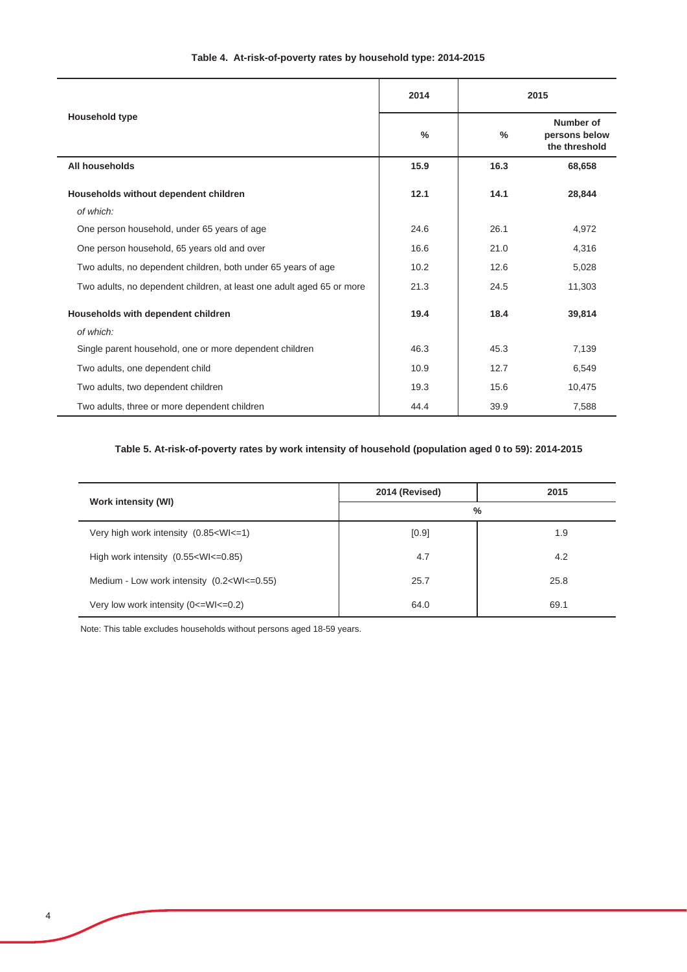|                                                                       | 2014          |      | 2015                                        |
|-----------------------------------------------------------------------|---------------|------|---------------------------------------------|
| Household type                                                        | $\frac{9}{6}$ | %    | Number of<br>persons below<br>the threshold |
| All households                                                        | 15.9          | 16.3 | 68,658                                      |
| Households without dependent children                                 | 12.1          | 14.1 | 28,844                                      |
| of which:                                                             |               |      |                                             |
| One person household, under 65 years of age                           | 24.6          | 26.1 | 4,972                                       |
| One person household, 65 years old and over                           | 16.6          | 21.0 | 4,316                                       |
| Two adults, no dependent children, both under 65 years of age         | 10.2          | 12.6 | 5,028                                       |
| Two adults, no dependent children, at least one adult aged 65 or more | 21.3          | 24.5 | 11,303                                      |
| Households with dependent children                                    | 19.4          | 18.4 | 39,814                                      |
| of which:                                                             |               |      |                                             |
| Single parent household, one or more dependent children               | 46.3          | 45.3 | 7,139                                       |
| Two adults, one dependent child                                       | 10.9          | 12.7 | 6,549                                       |
| Two adults, two dependent children                                    | 19.3          | 15.6 | 10,475                                      |
| Two adults, three or more dependent children                          | 44.4          | 39.9 | 7,588                                       |

## **Table 4. At-risk-of-poverty rates by household type: 2014-2015**

## **Table 5. At-risk-of-poverty rates by work intensity of household (population aged 0 to 59): 2014-2015**

| <b>Work intensity (WI)</b>                                                                 | 2014 (Revised) | 2015 |  |  |
|--------------------------------------------------------------------------------------------|----------------|------|--|--|
|                                                                                            | $\%$           |      |  |  |
| Very high work intensity (0.85 <wi<=1)< td=""><td>[0.9]</td><td>1.9</td></wi<=1)<>         | [0.9]          | 1.9  |  |  |
| High work intensity $(0.55 \times W) \leq -0.85$                                           | 4.7            | 4.2  |  |  |
| Medium - Low work intensity (0.2 <wi<=0.55)< td=""><td>25.7</td><td>25.8</td></wi<=0.55)<> | 25.7           | 25.8 |  |  |
| Very low work intensity $(0\le W1\le 0.2)$                                                 | 64.0           | 69.1 |  |  |

Note: This table excludes households without persons aged 18-59 years.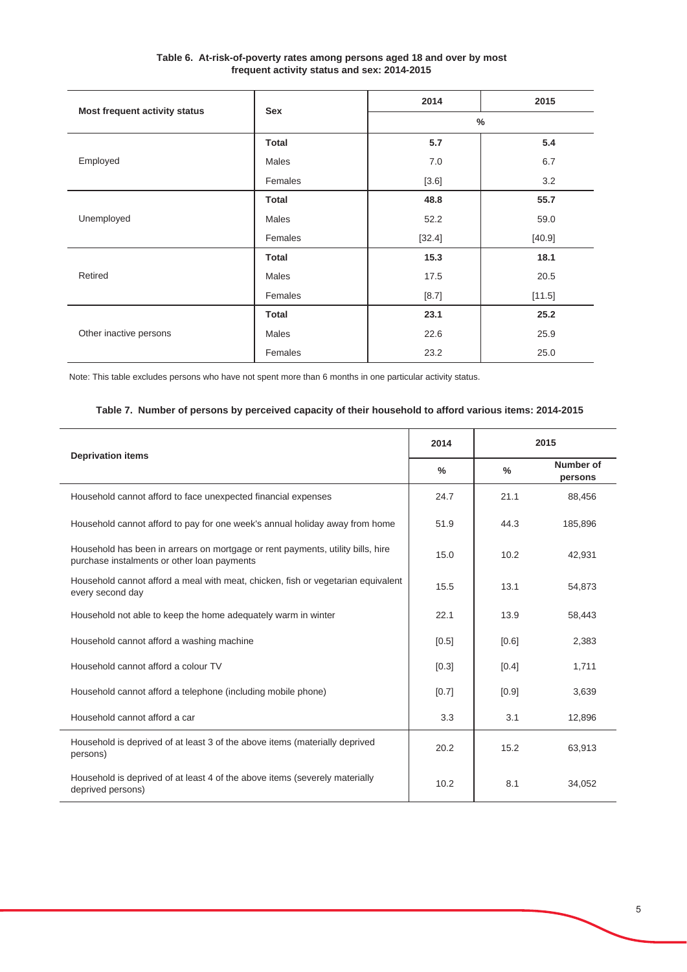| Table 6. At-risk-of-poverty rates among persons aged 18 and over by most |
|--------------------------------------------------------------------------|
| frequent activity status and sex: 2014-2015                              |

|                               | Sex          | 2014   | 2015   |  |
|-------------------------------|--------------|--------|--------|--|
| Most frequent activity status |              | $\%$   |        |  |
|                               | <b>Total</b> | 5.7    | 5.4    |  |
| Employed                      | Males        | 7.0    | 6.7    |  |
|                               | Females      | [3.6]  | 3.2    |  |
|                               | <b>Total</b> | 48.8   | 55.7   |  |
| Unemployed                    | Males        | 52.2   | 59.0   |  |
|                               | Females      | [32.4] | [40.9] |  |
|                               | <b>Total</b> | 15.3   | 18.1   |  |
| Retired                       | Males        | 17.5   | 20.5   |  |
|                               | Females      | [8.7]  | [11.5] |  |
|                               | <b>Total</b> | 23.1   | 25.2   |  |
| Other inactive persons        | Males        | 22.6   | 25.9   |  |
|                               | Females      | 23.2   | 25.0   |  |

Note: This table excludes persons who have not spent more than 6 months in one particular activity status.

## **Table 7. Number of persons by perceived capacity of their household to afford various items: 2014-2015**

|                                                                                                                                | 2014          |               | 2015                 |
|--------------------------------------------------------------------------------------------------------------------------------|---------------|---------------|----------------------|
| <b>Deprivation items</b>                                                                                                       | $\frac{0}{0}$ | $\frac{0}{0}$ | Number of<br>persons |
| Household cannot afford to face unexpected financial expenses                                                                  | 24.7          | 21.1          | 88,456               |
| Household cannot afford to pay for one week's annual holiday away from home                                                    | 51.9          | 44.3          | 185,896              |
| Household has been in arrears on mortgage or rent payments, utility bills, hire<br>purchase instalments or other loan payments | 15.0          | 10.2          | 42.931               |
| Household cannot afford a meal with meat, chicken, fish or vegetarian equivalent<br>every second day                           | 15.5          | 13.1          | 54,873               |
| Household not able to keep the home adequately warm in winter                                                                  | 22.1          | 13.9          | 58,443               |
| Household cannot afford a washing machine                                                                                      | [0.5]         | [0.6]         | 2,383                |
| Household cannot afford a colour TV                                                                                            | [0.3]         | [0.4]         | 1,711                |
| Household cannot afford a telephone (including mobile phone)                                                                   | [0.7]         | [0.9]         | 3,639                |
| Household cannot afford a car                                                                                                  | 3.3           | 3.1           | 12,896               |
| Household is deprived of at least 3 of the above items (materially deprived<br>persons)                                        | 20.2          | 15.2          | 63,913               |
| Household is deprived of at least 4 of the above items (severely materially<br>deprived persons)                               | 10.2          | 8.1           | 34.052               |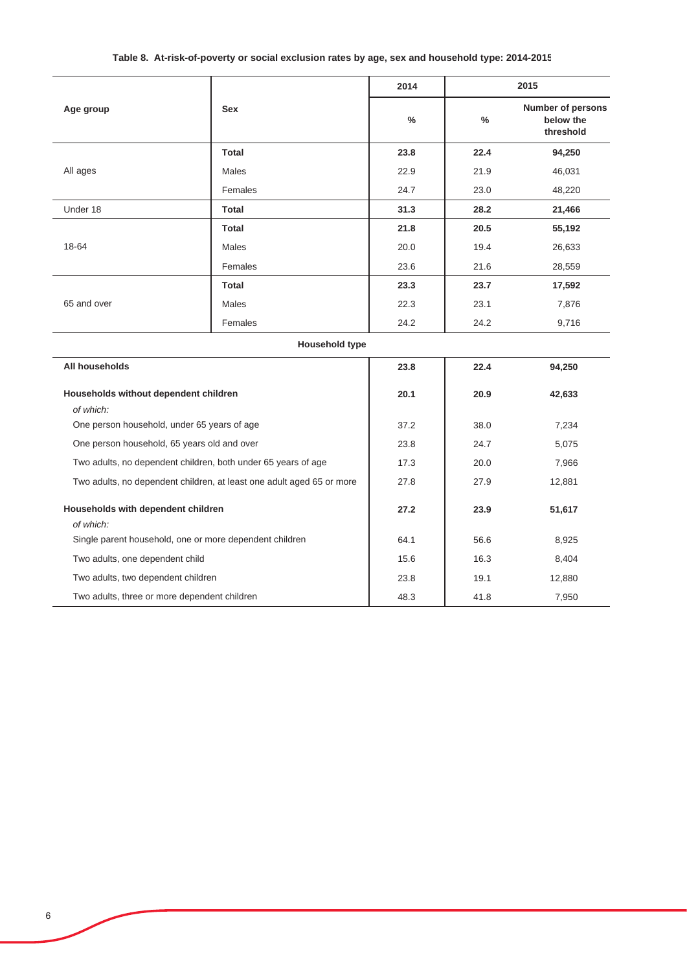## **Table 8. At-risk-of-poverty or social exclusion rates by age, sex and household type: 2014-2015**

|                                                                       |                                                               | 2014 |      | 2015                                        |
|-----------------------------------------------------------------------|---------------------------------------------------------------|------|------|---------------------------------------------|
| Age group                                                             | <b>Sex</b>                                                    | %    | %    | Number of persons<br>below the<br>threshold |
|                                                                       | <b>Total</b>                                                  | 23.8 | 22.4 | 94,250                                      |
| All ages                                                              | Males                                                         | 22.9 | 21.9 | 46,031                                      |
|                                                                       | Females                                                       | 24.7 | 23.0 | 48,220                                      |
| Under 18                                                              | <b>Total</b>                                                  | 31.3 | 28.2 | 21,466                                      |
|                                                                       | <b>Total</b>                                                  | 21.8 | 20.5 | 55,192                                      |
| 18-64                                                                 | Males                                                         | 20.0 | 19.4 | 26,633                                      |
|                                                                       | Females                                                       | 23.6 | 21.6 | 28,559                                      |
|                                                                       | <b>Total</b>                                                  | 23.3 | 23.7 | 17,592                                      |
| 65 and over                                                           | Males                                                         | 22.3 | 23.1 | 7,876                                       |
|                                                                       | Females                                                       | 24.2 | 24.2 | 9,716                                       |
|                                                                       | <b>Household type</b>                                         |      |      |                                             |
| All households                                                        |                                                               | 23.8 | 22.4 | 94,250                                      |
| Households without dependent children<br>of which:                    |                                                               | 20.1 | 20.9 | 42,633                                      |
| One person household, under 65 years of age                           |                                                               | 37.2 | 38.0 | 7,234                                       |
| One person household, 65 years old and over                           |                                                               | 23.8 | 24.7 | 5,075                                       |
|                                                                       | Two adults, no dependent children, both under 65 years of age | 17.3 | 20.0 | 7,966                                       |
| Two adults, no dependent children, at least one adult aged 65 or more |                                                               | 27.8 | 27.9 | 12,881                                      |
| Households with dependent children<br>of which:                       |                                                               | 27.2 | 23.9 | 51,617                                      |
|                                                                       | Single parent household, one or more dependent children       | 64.1 | 56.6 | 8,925                                       |
| Two adults, one dependent child                                       |                                                               | 15.6 | 16.3 | 8,404                                       |
| Two adults, two dependent children                                    |                                                               | 23.8 | 19.1 | 12,880                                      |
| Two adults, three or more dependent children                          |                                                               | 48.3 | 41.8 | 7,950                                       |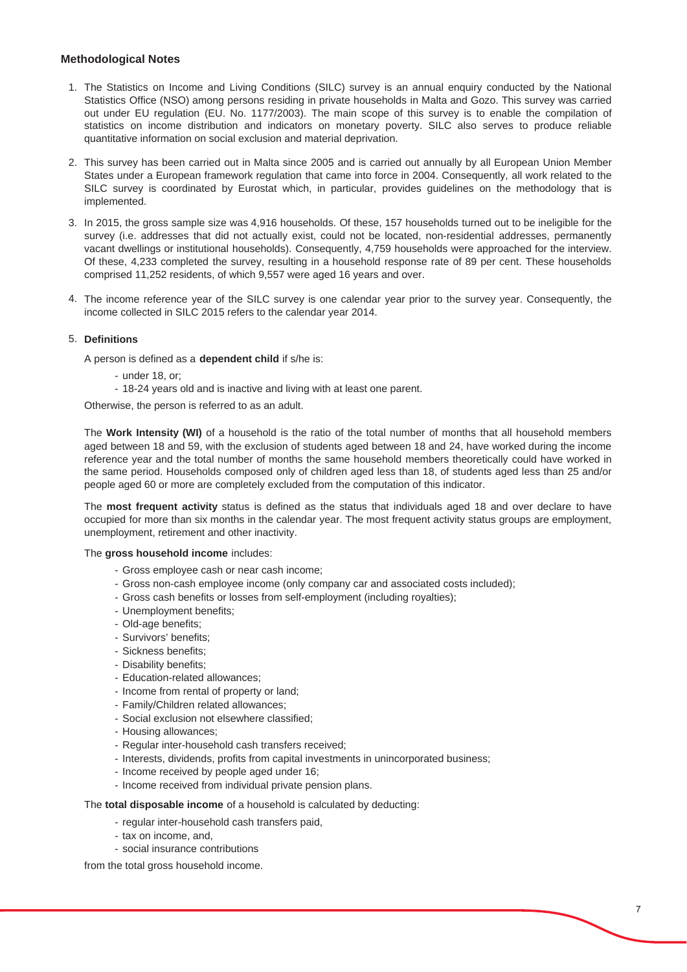#### **Methodological Notes**

- 1. The Statistics on Income and Living Conditions (SILC) survey is an annual enquiry conducted by the National Statistics Office (NSO) among persons residing in private households in Malta and Gozo. This survey was carried out under EU regulation (EU. No. 1177/2003). The main scope of this survey is to enable the compilation of statistics on income distribution and indicators on monetary poverty. SILC also serves to produce reliable quantitative information on social exclusion and material deprivation.
- 2. This survey has been carried out in Malta since 2005 and is carried out annually by all European Union Member States under a European framework regulation that came into force in 2004. Consequently, all work related to the SILC survey is coordinated by Eurostat which, in particular, provides guidelines on the methodology that is implemented.
- 3. In 2015, the gross sample size was 4,916 households. Of these, 157 households turned out to be ineligible for the survey (i.e. addresses that did not actually exist, could not be located, non-residential addresses, permanently vacant dwellings or institutional households). Consequently, 4,759 households were approached for the interview. Of these, 4,233 completed the survey, resulting in a household response rate of 89 per cent. These households comprised 11,252 residents, of which 9,557 were aged 16 years and over.
- 4. The income reference year of the SILC survey is one calendar year prior to the survey year. Consequently, the income collected in SILC 2015 refers to the calendar year 2014.

#### 5. **Definitions**

A person is defined as a **dependent child** if s/he is:

- under 18, or;
- 18-24 years old and is inactive and living with at least one parent.

Otherwise, the person is referred to as an adult.

The **Work Intensity (WI)** of a household is the ratio of the total number of months that all household members aged between 18 and 59, with the exclusion of students aged between 18 and 24, have worked during the income reference year and the total number of months the same household members theoretically could have worked in the same period. Households composed only of children aged less than 18, of students aged less than 25 and/or people aged 60 or more are completely excluded from the computation of this indicator.

The **most frequent activity** status is defined as the status that individuals aged 18 and over declare to have occupied for more than six months in the calendar year. The most frequent activity status groups are employment, unemployment, retirement and other inactivity.

#### The **gross household income** includes:

- Gross employee cash or near cash income;
- Gross non-cash employee income (only company car and associated costs included);
- Gross cash benefits or losses from self-employment (including royalties);
- Unemployment benefits;
- Old-age benefits;
- Survivors' benefits;
- Sickness benefits;
- Disability benefits;
- Education-related allowances;
- Income from rental of property or land;
- Family/Children related allowances;
- Social exclusion not elsewhere classified;
- Housing allowances;
- Regular inter-household cash transfers received;
- Interests, dividends, profits from capital investments in unincorporated business;
- Income received by people aged under 16;
- Income received from individual private pension plans.

The **total disposable income** of a household is calculated by deducting:

- regular inter-household cash transfers paid,
- tax on income, and,
- social insurance contributions

from the total gross household income.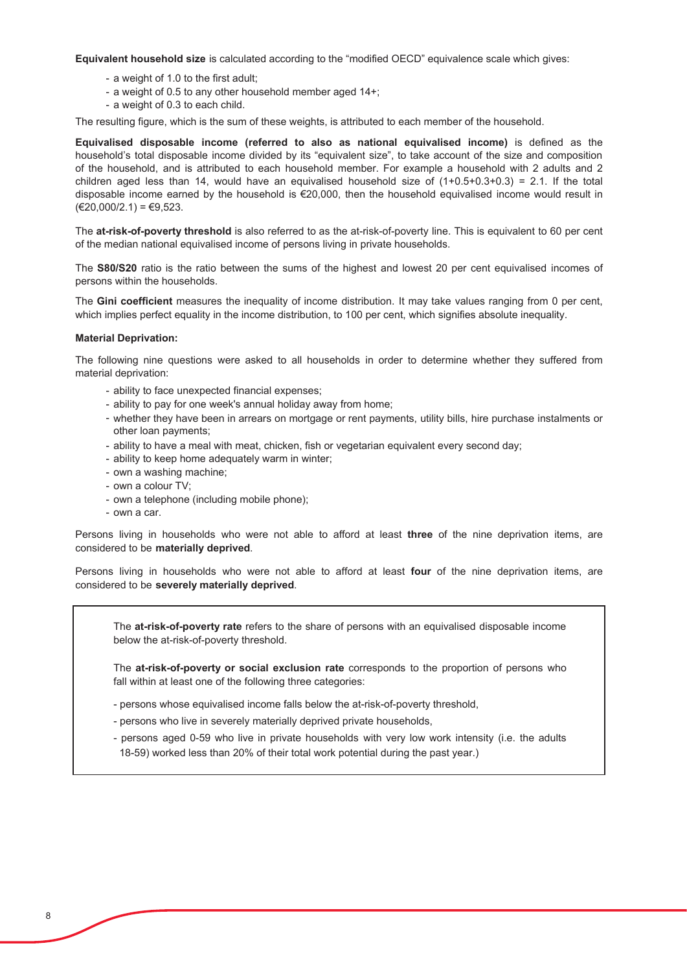**Equivalent household size** is calculated according to the "modified OECD" equivalence scale which gives:

- a weight of 1.0 to the first adult;
- a weight of 0.5 to any other household member aged 14+;
- a weight of 0.3 to each child.

The resulting figure, which is the sum of these weights, is attributed to each member of the household.

**Equivalised disposable income (referred to also as national equivalised income) is defined as the** household's total disposable income divided by its "equivalent size", to take account of the size and composition of the household, and is attributed to each household member. For example a household with 2 adults and 2 children aged less than 14, would have an equivalised household size of  $(1+0.5+0.3+0.3) = 2.1$ . If the total disposable income earned by the household is  $\epsilon$ 20,000, then the household equivalised income would result in  $(€20,000/2.1) = €9,523.$ 

The at-risk-of-poverty threshold is also referred to as the at-risk-of-poverty line. This is equivalent to 60 per cent of the median national equivalised income of persons living in private households.

The S80/S20 ratio is the ratio between the sums of the highest and lowest 20 per cent equivalised incomes of persons within the households.

The Gini coefficient measures the inequality of income distribution. It may take values ranging from 0 per cent. which implies perfect equality in the income distribution, to 100 per cent, which signifies absolute inequality.

#### **Material Deprivation:**

The following nine questions were asked to all households in order to determine whether they suffered from material deprivation:

- ability to face unexpected financial expenses;
- ability to pay for one week's annual holiday away from home;
- whether they have been in arrears on mortgage or rent payments, utility bills, hire purchase instalments or other loan payments:
- ability to have a meal with meat, chicken, fish or vegetarian equivalent every second day;
- ability to keep home adequately warm in winter;
- own a washing machine;
- own a colour TV;
- own a telephone (including mobile phone);
- own a car.

Persons living in households who were not able to afford at least three of the nine deprivation items, are considered to be materially deprived.

Persons living in households who were not able to afford at least four of the nine deprivation items, are considered to be severely materially deprived.

The **at-risk-of-poverty rate** refers to the share of persons with an equivalised disposable income below the at-risk-of-poverty threshold.

The **at-risk-of-poverty or social exclusion rate** corresponds to the proportion of persons who fall within at least one of the following three categories:

- persons whose equivalised income falls below the at-risk-of-poverty threshold,
- persons who live in severely materially deprived private households,
- 18-59) worked less than 20% of their total work potential during the past year.) - persons aged 0-59 who live in private households with very low work intensity (i.e. the adults